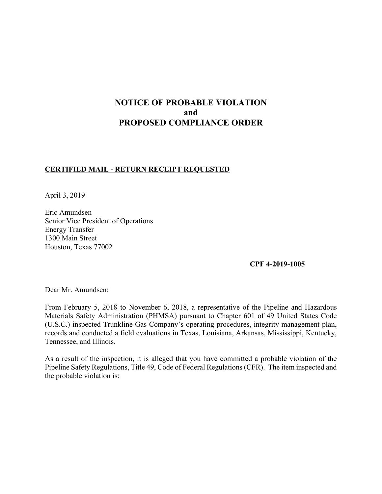# **NOTICE OF PROBABLE VIOLATION and PROPOSED COMPLIANCE ORDER**

### **CERTIFIED MAIL - RETURN RECEIPT REQUESTED**

April 3, 2019

Eric Amundsen Senior Vice President of Operations Energy Transfer 1300 Main Street Houston, Texas 77002

**CPF 4-2019-1005**

Dear Mr. Amundsen:

 From February 5, 2018 to November 6, 2018, a representative of the Pipeline and Hazardous Materials Safety Administration (PHMSA) pursuant to Chapter 601 of 49 United States Code (U.S.C.) inspected Trunkline Gas Company's operating procedures, integrity management plan, records and conducted a field evaluations in Texas, Louisiana, Arkansas, Mississippi, Kentucky, Tennessee, and Illinois.

 Pipeline Safety Regulations, Title 49, Code of Federal Regulations (CFR). The item inspected and As a result of the inspection, it is alleged that you have committed a probable violation of the the probable violation is: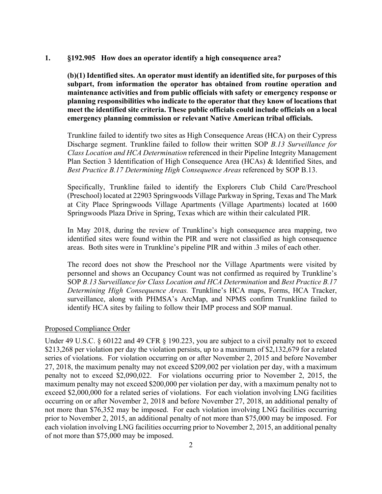#### **1. §192.905 How does an operator identify a high consequence area?**

 **planning responsibilities who indicate to the operator that they know of locations that (b)(1) Identified sites. An operator must identify an identified site, for purposes of this subpart, from information the operator has obtained from routine operation and maintenance activities and from public officials with safety or emergency response or meet the identified site criteria. These public officials could include officials on a local emergency planning commission or relevant Native American tribal officials.** 

Trunkline failed to identify two sites as High Consequence Areas (HCA) on their Cypress Discharge segment. Trunkline failed to follow their written SOP *B.13 Surveillance for Class Location and HCA Determination* referenced in their Pipeline Integrity Management Plan Section 3 Identification of High Consequence Area (HCAs) & Identified Sites, and *Best Practice B.17 Determining High Consequence Areas* referenced by SOP B.13.

 Specifically, Trunkline failed to identify the Explorers Club Child Care/Preschool (Preschool) located at 22903 Springwoods Village Parkway in Spring, Texas and The Mark at City Place Springwoods Village Apartments (Village Apartments) located at 1600 Springwoods Plaza Drive in Spring, Texas which are within their calculated PIR.

 identified sites were found within the PIR and were not classified as high consequence In May 2018, during the review of Trunkline's high consequence area mapping, two areas. Both sites were in Trunkline's pipeline PIR and within .3 miles of each other.

The record does not show the Preschool nor the Village Apartments were visited by personnel and shows an Occupancy Count was not confirmed as required by Trunkline's SOP *B.13 Surveillance for Class Location and HCA Determination* and *Best Practice B.17 Determining High Consequence Areas.* Trunkline's HCA maps, Forms, HCA Tracker, surveillance, along with PHMSA's ArcMap, and NPMS confirm Trunkline failed to identify HCA sites by failing to follow their IMP process and SOP manual.

#### Proposed Compliance Order

 exceed \$2,000,000 for a related series of violations. For each violation involving LNG facilities Under 49 U.S.C. § 60122 and 49 CFR § 190.223, you are subject to a civil penalty not to exceed \$213,268 per violation per day the violation persists, up to a maximum of \$2,132,679 for a related series of violations. For violation occurring on or after November 2, 2015 and before November 27, 2018, the maximum penalty may not exceed \$209,002 per violation per day, with a maximum penalty not to exceed \$2,090,022. For violations occurring prior to November 2, 2015, the maximum penalty may not exceed \$200,000 per violation per day, with a maximum penalty not to occurring on or after November 2, 2018 and before November 27, 2018, an additional penalty of not more than \$76,352 may be imposed. For each violation involving LNG facilities occurring prior to November 2, 2015, an additional penalty of not more than \$75,000 may be imposed. For each violation involving LNG facilities occurring prior to November 2, 2015, an additional penalty of not more than \$75,000 may be imposed.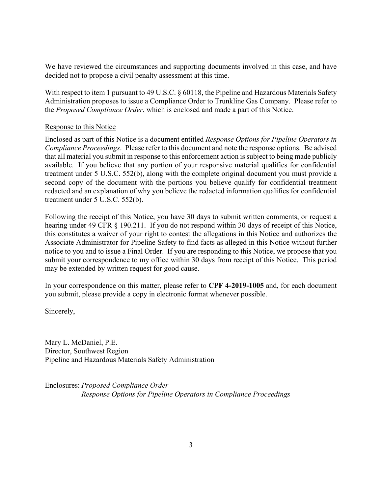decided not to propose a civil penalty assessment at this time. We have reviewed the circumstances and supporting documents involved in this case, and have

With respect to item 1 pursuant to 49 U.S.C. § 60118, the Pipeline and Hazardous Materials Safety Administration proposes to issue a Compliance Order to Trunkline Gas Company. Please refer to the *Proposed Compliance Order*, which is enclosed and made a part of this Notice.

#### Response to this Notice

 *Compliance Proceedings*. Please refer to this document and note the response options. Be advised treatment under 5 U.S.C. 552(b), along with the complete original document you must provide a Enclosed as part of this Notice is a document entitled *Response Options for Pipeline Operators in*  that all material you submit in response to this enforcement action is subject to being made publicly available. If you believe that any portion of your responsive material qualifies for confidential second copy of the document with the portions you believe qualify for confidential treatment redacted and an explanation of why you believe the redacted information qualifies for confidential treatment under 5 U.S.C. 552(b).

 submit your correspondence to my office within 30 days from receipt of this Notice. This period Following the receipt of this Notice, you have 30 days to submit written comments, or request a hearing under 49 CFR § 190.211. If you do not respond within 30 days of receipt of this Notice, this constitutes a waiver of your right to contest the allegations in this Notice and authorizes the Associate Administrator for Pipeline Safety to find facts as alleged in this Notice without further notice to you and to issue a Final Order. If you are responding to this Notice, we propose that you may be extended by written request for good cause.

In your correspondence on this matter, please refer to **CPF 4-2019-1005** and, for each document you submit, please provide a copy in electronic format whenever possible.

Sincerely,

Mary L. McDaniel, P.E. Director, Southwest Region Pipeline and Hazardous Materials Safety Administration

Enclosures: *Proposed Compliance Order Response Options for Pipeline Operators in Compliance Proceedings*